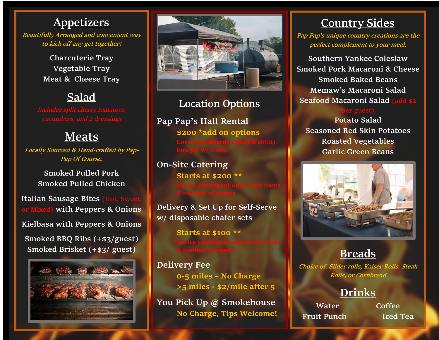### **Appetizers**

**Beautifully Arranged and convenient way to kick off any get together!**

> **Charcuterie Tray Vegetable Tray Meat & Cheese Tray**

### **Salad**

### **Meats**

**Locally Sourced & Hand-crafted by Pap-Pap Of Course.** 

> **Smoked Pulled Pork Smoked Pulled Chicken**

**Italian Sausage Bites (Hot, Sweet) or Mixed) with Peppers & Onions Kielbasa with Peppers & Onions Smoked BBQ Ribs (+\$3/guest) Smoked Brisket (+\$3/ guest)**





### **Location Options**

**Pap Pap's Hall Rental \$200 \*add on options**

### **On-Site Catering**

**Starts at \$200 \*\***

**Delivery & Set Up for Self-Serve w/ disposable chafer sets**

**Starts at \$100 \*\***

**Delivery Fee 0-5 miles – No Charge >5 miles - \$2/mile after 5**

**You Pick Up @ Smokehouse No Charge, Tips Welcome!**

### **Country Sides**

**Pap Pap's unique country creations are the perfect complement to your meal.**

**Southern Yankee Coleslaw Smoked Pork Macaroni & Cheese Smoked Baked Beans Memaw's Macaroni Salad Seafood Macaroni Salad (add \$2** 

**Potato Salad Seasoned Red Skin Potatoes Roasted Vegetables Garlic Green Beans**



### **Breads**

**Choice of: Slider rolls, Kaiser Rolls, Steak Rolls, or Cornbread**

### **Drinks**

**Water Coffee Fruit Punch Iced Tea**